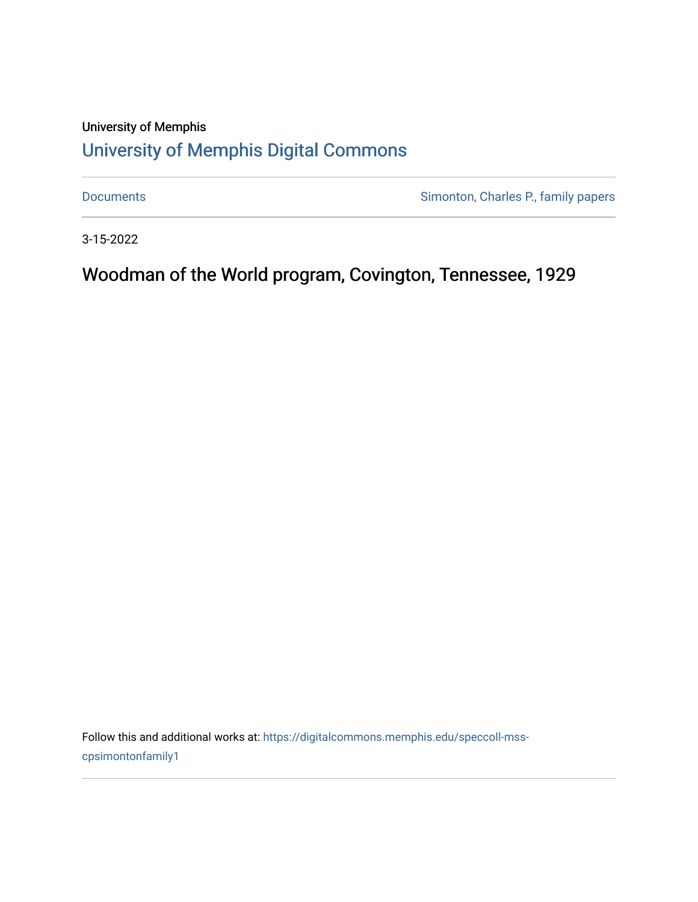## University of Memphis [University of Memphis Digital Commons](https://digitalcommons.memphis.edu/)

[Documents](https://digitalcommons.memphis.edu/speccoll-mss-cpsimontonfamily1) **Simonton, Charles P., family papers** 

3-15-2022

Woodman of the World program, Covington, Tennessee, 1929

Follow this and additional works at: [https://digitalcommons.memphis.edu/speccoll-mss](https://digitalcommons.memphis.edu/speccoll-mss-cpsimontonfamily1?utm_source=digitalcommons.memphis.edu%2Fspeccoll-mss-cpsimontonfamily1%2F47&utm_medium=PDF&utm_campaign=PDFCoverPages)[cpsimontonfamily1](https://digitalcommons.memphis.edu/speccoll-mss-cpsimontonfamily1?utm_source=digitalcommons.memphis.edu%2Fspeccoll-mss-cpsimontonfamily1%2F47&utm_medium=PDF&utm_campaign=PDFCoverPages)